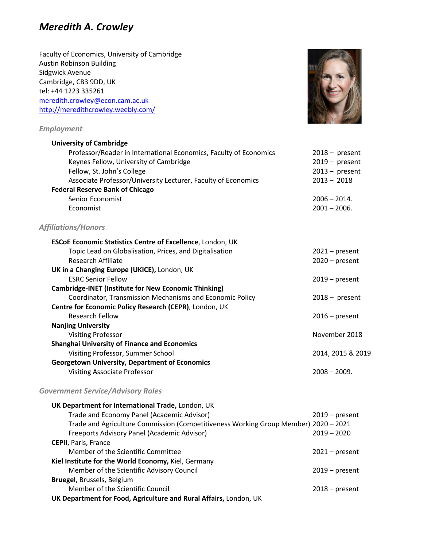# *Meredith A. Crowley*

Faculty of Economics, University of Cambridge Austin Robinson Building Sidgwick Avenue Cambridge, CB3 9DD, UK tel: +44 1223 335261 [meredith.crowley@econ.cam.ac.uk](mailto:meredith.crowley@econ.cam.ac.uk) <http://meredithcrowley.weebly.com/>

### *Employment*



Visiting Associate Professor 2008 – 2009.

### *Government Service/Advisory Roles*

| UK Department for International Trade, London, UK                                   |                  |
|-------------------------------------------------------------------------------------|------------------|
| Trade and Economy Panel (Academic Advisor)                                          | $2019$ – present |
| Trade and Agriculture Commission (Competitiveness Working Group Member) 2020 - 2021 |                  |
| Freeports Advisory Panel (Academic Advisor)                                         | $2019 - 2020$    |
| <b>CEPII</b> , Paris, France                                                        |                  |
| Member of the Scientific Committee                                                  | $2021$ – present |
| Kiel Institute for the World Economy, Kiel, Germany                                 |                  |
| Member of the Scientific Advisory Council                                           | $2019$ – present |
| <b>Bruegel, Brussels, Belgium</b>                                                   |                  |
| Member of the Scientific Council                                                    | $2018 - present$ |
| UK Department for Food, Agriculture and Rural Affairs, London, UK                   |                  |

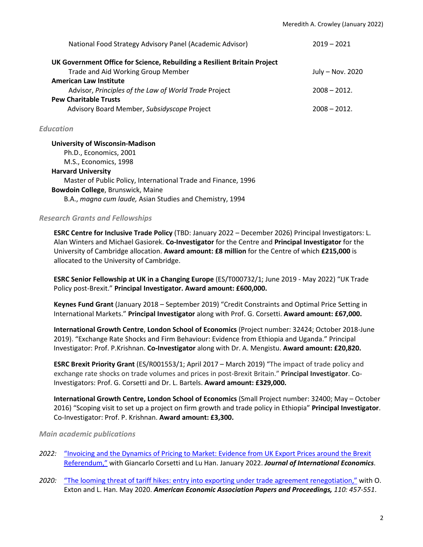| National Food Strategy Advisory Panel (Academic Advisor)                 | $2019 - 2021$    |
|--------------------------------------------------------------------------|------------------|
| UK Government Office for Science, Rebuilding a Resilient Britain Project |                  |
| Trade and Aid Working Group Member                                       | July - Nov. 2020 |
| <b>American Law Institute</b>                                            |                  |
| Advisor, Principles of the Law of World Trade Project                    | $2008 - 2012$ .  |
| <b>Pew Charitable Trusts</b>                                             |                  |
| Advisory Board Member, Subsidyscope Project                              | $2008 - 2012.$   |

### *Education*

**University of Wisconsin-Madison** Ph.D., Economics, 2001 M.S., Economics, 1998 **Harvard University** Master of Public Policy, International Trade and Finance, 1996 **Bowdoin College**, Brunswick, Maine B.A., *magna cum laude,* Asian Studies and Chemistry, 1994

### *Research Grants and Fellowships*

**ESRC Centre for Inclusive Trade Policy** (TBD: January 2022 – December 2026) Principal Investigators: L. Alan Winters and Michael Gasiorek. **Co-Investigator** for the Centre and **Principal Investigator** for the University of Cambridge allocation. **Award amount: £8 million** for the Centre of which **£215,000** is allocated to the University of Cambridge.

**ESRC Senior Fellowship at UK in a Changing Europe** (ES/T000732/1; June 2019 - May 2022) "UK Trade Policy post-Brexit." **Principal Investigator. Award amount: £600,000.** 

**Keynes Fund Grant** (January 2018 – September 2019) "Credit Constraints and Optimal Price Setting in International Markets." **Principal Investigator** along with Prof. G. Corsetti. **Award amount: £67,000.**

**International Growth Centre**, **London School of Economics** (Project number: 32424; October 2018-June 2019). "Exchange Rate Shocks and Firm Behaviour: Evidence from Ethiopia and Uganda." Principal Investigator: Prof. P.Krishnan. **Co-Investigator** along with Dr. A. Mengistu. **Award amount: £20,820.** 

**ESRC Brexit Priority Grant** (ES/R001553/1; April 2017 – March 2019) "The impact of trade policy and exchange rate shocks on trade volumes and prices in post-Brexit Britain." **Principal Investigator**. Co-Investigators: Prof. G. Corsetti and Dr. L. Bartels. **Award amount: £329,000.**

**International Growth Centre, London School of Economics** (Small Project number: 32400; May – October 2016) "Scoping visit to set up a project on firm growth and trade policy in Ethiopia" **Principal Investigator**. Co-Investigator: Prof. P. Krishnan. **Award amount: £3,300.**

### *Main academic publications*

- *2022:* ["Invoicing and the Dynamics of Pricing to Market: Evidence from UK Export Prices around the Brexit](https://doi.org/10.1016/j.jinteco.2022.103570)  [Referendum,"](https://doi.org/10.1016/j.jinteco.2022.103570) with Giancarlo Corsetti and Lu Han. January 2022. *Journal of International Economics*.
- *2020:* ["The looming threat of tariff hikes: entry into exporting under trade agreement](https://pubs.aeaweb.org/doi/pdf/10.1257/pandp.20201020) renegotiation," with O. Exton and L. Han. May 2020. *American Economic Association Papers and Proceedings, 110: 457-551*.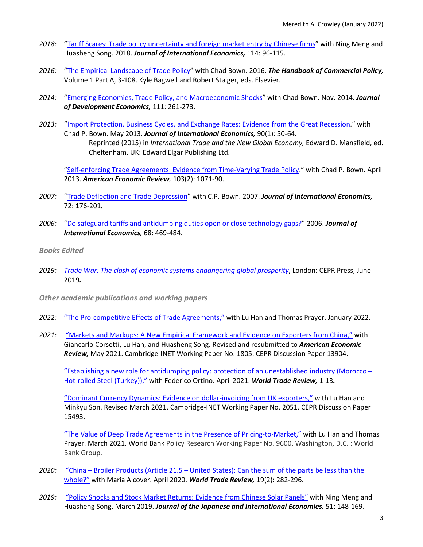- *2018:* ["Tariff Scares: Trade policy uncertainty and foreign market entry](https://doi.org/10.1016/j.jinteco.2018.05.003) by Chinese firms" with Ning Meng and Huasheng Song. 2018. *Journal of International Economics,* 114: 96-115*.*
- *2016:* ["The Empirical Landscape of Trade Policy"](https://doi.org/10.1016/bs.hescop.2016.04.015) with Chad Bown. 2016. *The Handbook of Commercial Policy,* Volume 1 Part A, 3-108. Kyle Bagwell and Robert Staiger, eds. Elsevier.
- *2014:* ["Emerging Economies, Trade Policy, and Macroeconomic Shocks"](https://doi.org/10.1016/j.jdeveco.2014.05.001) with Chad Bown. Nov. 2014. *Journal of Development Economics,* 111: 261-273.
- *2013:* ["Import Protection, Business Cycles, and Exchange Rates: Evidence from the Great Recession.](http://dx.doi.org/10.1016/j.jinteco.2012.12.001)" with Chad P. Bown. May 2013. *Journal of International Economics,* 90(1): 50-64*.*  Reprinted (2015) in *International Trade and the New Global Economy,* Edward D. Mansfield, ed. Cheltenham, UK: Edward Elgar Publishing Ltd.

["Self-enforcing Trade Agreements: Evidence from Time-Varying Trade Policy.](http://dx.doi.org/10.1257/aer.103.2.1071)" with Chad P. Bown. April 2013. *American Economic Review,* 103(2): 1071-90.

- *2007:* ["Trade Deflection and Trade Depression"](https://doi.org/10.1016/j.jinteco.2006.09.005) with C.P. Bown. 2007. *Journal of International Economics,*  72: 176-201*.*
- *2006:* ["Do safeguard tariffs and antidumping duties open or close technology gaps?"](https://doi.org/10.1016/j.jinteco.2005.06.007) 2006. *Journal of International Economics,* 68: 469-484.
- *Books Edited*
- *2019: [Trade War: The clash of economic systems endangering](https://voxeu.org/content/trade-war-clash-economic-systems-threatening-global-prosperity) global prosperity*, London: CEPR Press, June 2019*.*
- *Other academic publications and working papers*
- *2022:* ["The Pro-competitive Effects of Trade Agreements,"](http://meredithcrowley.weebly.com/uploads/2/1/7/6/21768054/pro-compta-19jan2022.pdf) with Lu Han and Thomas Prayer. January 2022.
- *2021:* ["Markets and Markups: A New Empirical Framework and Evidence on Exporters from China,"](https://www.inet.econ.cam.ac.uk/working-paper-pdfs/copy_of_wp1805.pdf) with Giancarlo Corsetti, Lu Han, and Huasheng Song. Revised and resubmitted to *American Economic Review,* May 2021. Cambridge-INET Working Paper No. 1805. CEPR Discussion Paper 13904.

["Establishing a new role for antidumping policy: protection of an unestablished industry \(Morocco –](https://doi.org/10.1017/S1474745621000082) [Hot-rolled Steel \(Turkey\)\),"](https://doi.org/10.1017/S1474745621000082) with Federico Ortino. April 2021. *World Trade Review,* 1-13*.*

["Dominant Currency Dynamics: Evidence on dollar-invoicing from UK exporters,"](https://www.inet.econ.cam.ac.uk/research-papers/wp-abstracts?wp=2051) with Lu Han and Minkyu Son. Revised March 2021. Cambridge-INET Working Paper No. 2051. CEPR Discussion Paper 15493.

["The Value of Deep Trade Agreements in the Presence of Pricing-to-Market,"](http://documents.worldbank.org/curated/en/106381616683931781/The-Value-of-Deep-Trade-Agreements-in-the-Presence-of-Pricing-to-Market) with Lu Han and Thomas Prayer. March 2021. World Bank Policy Research Working Paper No. 9600, Washington, D.C. : World Bank Group.

- *2020:* "China Broiler Products (Article 21.5 [United States\): Can the sum of the parts be less than the](http://dx.doi.org/10.1017/S1474745620000026)  [whole?"](http://dx.doi.org/10.1017/S1474745620000026) with Maria Alcover. April 2020. *World Trade Review,* 19(2): 282-296.
- *2019:* ["Policy Shocks and Stock Market Returns: Evidence from Chinese Solar Panels"](https://doi.org/10.1016/j.jjie.2019.02.006) with Ning Meng and Huasheng Song. March 2019. *Journal of the Japanese and International Economies,* 51: 148-169.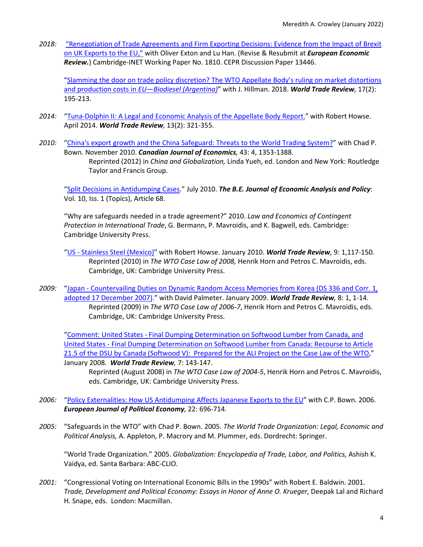*2018:* ["Renegotiation of Trade Agreements and Firm Exporting Decisions: Evidence from the Impact of Brexit](https://www.inet.econ.cam.ac.uk/working-paper-pdfs/wp1810.pdf)  [on UK Exports to the EU,"](https://www.inet.econ.cam.ac.uk/working-paper-pdfs/wp1810.pdf) with Oliver Exton and Lu Han. (Revise & Resubmit at *European Economic Review.*) Cambridge-INET Working Paper No. 1810. CEPR Discussion Paper 13446.

["Slamming the door on trade policy discretion? The WTO Appellate Body's ruling on market distortions](https://doi.org/10.1017/S1474745617000581)  and production costs in *[EU—Biodiesel \(Argentina\)](https://doi.org/10.1017/S1474745617000581)*" with J. Hillman. 2018. *World Trade Review,* 17(2): 195-213.

- *2014:* "Tuna-Dolphin II*:* [A Legal and Economic Analysis of the Appellate Body Report."](https://doi.org/10.1017/S147474561400010X) with Robert Howse. April 2014. *World Trade Review,* 13(2): 321-355*.*
- *2010:* ["China's export growth and the China Safeguard: Threats to the World Trading System?"](https://doi.org/10.1111/j.1540-5982.2010.01617.x) with Chad P. Bown. November 2010. *Canadian Journal of Economics,* 43: 4, 1353-1388. Reprinted (2012) in *China and Globalization,* Linda Yueh, ed. London and New York: Routledge Taylor and Francis Group.

["Split Decisions in Antidumping Cases.](https://doi.org/10.2202/1935-1682.1963)" July 2010. *The B.E. Journal of Economic Analysis and Policy*: Vol. 10, Iss. 1 (Topics), Article 68.

"Why are safeguards needed in a trade agreement?" 2010. *Law and Economics of Contingent Protection in International Trade*, G. Bermann, P. Mavroidis, and K. Bagwell, eds. Cambridge: Cambridge University Press.

- "US [Stainless Steel \(Mexico\)"](https://doi.org/10.1017/S1474745609990279) with Robert Howse. January 2010. *World Trade Review,* 9: 1,117-150*.*  Reprinted (2010) in *The WTO Case Law of 2008,* Henrik Horn and Petros C. Mavroidis, eds. Cambridge, UK: Cambridge University Press.
- *2009:* "Japan [Countervailing Duties on Dynamic Random Access Memories from Korea \(DS 336 and Corr. 1,](https://doi.org/10.1017/S1474745608004175)  adopted [17 December 2007\).](https://doi.org/10.1017/S1474745608004175)" with David Palmeter. January 2009. *World Trade Review,* 8: 1, 1-14. Reprinted (2009) in *The WTO Case Law of 2006-7*, Henrik Horn and Petros C. Mavroidis, eds. Cambridge, UK: Cambridge University Press.

"Comment: United States - [Final Dumping Determination on Softwood Lumber from Canada, and](https://doi.org/10.1017/S1474745608003686)  United States - [Final Dumping Determination on Softwood Lumber from Canada: Recourse to Article](https://doi.org/10.1017/S1474745608003686)  [21.5 of the DSU by Canada \(Softwood V\): Prepared for the ALI Project on the Case Law of the WTO,](https://doi.org/10.1017/S1474745608003686)" January 2008. *World Trade Review,* 7: 143-147.

Reprinted (August 2008) in *The WTO Case Law of 2004-5*, Henrik Horn and Petros C. Mavroidis, eds. Cambridge, UK: Cambridge University Press.

- *2006:* ["Policy Externalities: How US Antidumping Affects Japanese Exports to the EU"](https://doi.org/10.1016/j.ejpoleco.2005.12.004) with C.P. Bown. 2006. *European Journal of Political Economy,* 22: 696-714*.*
- *2005:* "Safeguards in the WTO" with Chad P. Bown. 2005. *The World Trade Organization: Legal, Economic and Political Analysis,* A. Appleton, P. Macrory and M. Plummer, eds. Dordrecht: Springer.

"World Trade Organization." 2005. *Globalization: Encyclopedia of Trade, Labor, and Politics,* Ashish K. Vaidya, ed. Santa Barbara: ABC-CLIO.

*2001:* "Congressional Voting on International Economic Bills in the 1990s" with Robert E. Baldwin. 2001. *Trade, Development and Political Economy: Essays in Honor of Anne O. Krueger,* Deepak Lal and Richard H. Snape, eds. London: Macmillan.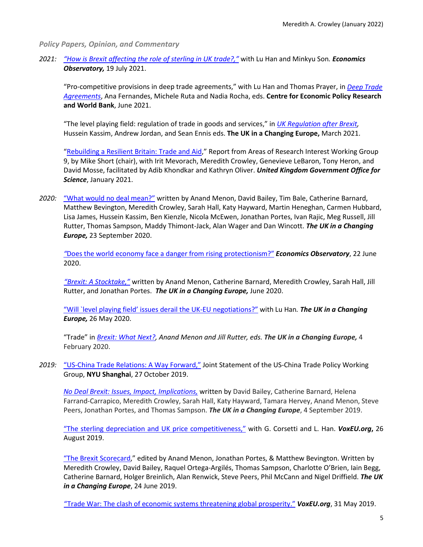*Policy Papers, Opinion, and Commentary*

*2021: ["How is Brexit affecting the role of sterling in UK trade?,"](https://www.economicsobservatory.com/how-is-brexit-affecting-the-role-of-sterling-in-uk-trade)* with Lu Han and Minkyu Son*. Economics Observatory,* 19 July 2021.

"Pro-competitive provisions in deep trade agreements," with Lu Han and Thomas Prayer, in *[Deep Trade](https://voxeu.org/content/economics-deep-trade-agreements-new-ebook)  [Agreements](https://voxeu.org/content/economics-deep-trade-agreements-new-ebook)*, Ana Fernandes, Michele Ruta and Nadia Rocha, eds. **Centre for Economic Policy Research and World Bank**, June 2021.

"The level playing field: regulation of trade in goods and services," in *[UK Regulation after Brexit,](https://ukandeu.ac.uk/wp-content/uploads/2021/02/UK-regulation-after-Brexit.pdf)*  Hussein Kassim, Andrew Jordan, and Sean Ennis eds. **The UK in a Changing Europe,** March 2021.

["Rebuilding a Resilient Britain: Trade and Aid,"](https://www.upen.ac.uk/go_science/) Report from Areas of Research Interest Working Group 9, by Mike Short (chair), with Irit Mevorach, Meredith Crowley, Genevieve LeBaron, Tony Heron, and David Mosse, facilitated by Adib Khondkar and Kathryn Oliver. *United Kingdom Government Office for Science*, January 2021.

*2020:* ["What would no deal mean?"](https://ukandeu.ac.uk/wp-content/uploads/2020/09/UKICE-What-would-no-deal-mean.pdf) written by Anand Menon, David Bailey, Tim Bale, Catherine Barnard, Matthew Bevington, Meredith Crowley, Sarah Hall, Katy Hayward, Martin Heneghan, Carmen Hubbard, Lisa James, Hussein Kassim, Ben Kienzle, Nicola McEwen, Jonathan Portes, Ivan Rajic, Meg Russell, Jill Rutter, Thomas Sampson, Maddy Thimont-Jack, Alan Wager and Dan Wincott. *The UK in a Changing Europe,* 23 September 2020.

*"*[Does the world economy face a danger from rising protectionism?"](https://www.coronavirusandtheeconomy.com/question/does-world-economy-face-danger-rising-protectionism) *Economics Observatory*, 22 June 2020.

*["Brexit: A Stocktake,"](https://ukandeu.ac.uk/wp-content/uploads/2020/06/The-Brexit-Negotiations-A-Stocktake-1.pdf)* written by Anand Menon, Catherine Barnard, Meredith Crowley, Sarah Hall, Jill Rutter, and Jonathan Portes. *The UK in a Changing Europe,* June 2020.

["Will `level playing field' issues derail the UK-EU negotiations?"](https://ukandeu.ac.uk/will-level-playing-field-issues-derail-the-uk-eu-negotiations/) with Lu Han*. The UK in a Changing Europe,* 26 May 2020.

"Trade" in *[Brexit: What Next?,](https://ukandeu.ac.uk/wp-content/uploads/2020/02/Brexit-what-next-report.pdf) Anand Menon and Jill Rutter, eds. The UK in a Changing Europe,* 4 February 2020.

*2019:* ["US-China Trade Relations: A Way Forward,"](https://www.inet.econ.cam.ac.uk/files/us-china_trade_joint_statement_2019.pdf) Joint Statement of the US-China Trade Policy Working Group, **NYU Shanghai**, 27 October 2019.

*[No Deal Brexit: Issues, Impact, Implications,](https://ukandeu.ac.uk/no-deal-will-lead-to-prolonged-and-severe-political-and-economic-uncertainty/)* written by David Bailey, Catherine Barnard, Helena Farrand-Carrapico, Meredith Crowley, Sarah Hall, Katy Hayward, Tamara Hervey, Anand Menon, Steve Peers, Jonathan Portes, and Thomas Sampson. *The UK in a Changing Europe*, 4 September 2019.

["The sterling depreciation and UK price competitiveness,"](https://voxeu.org/article/sterling-depreciation-and-uk-price-competitiveness) with G. Corsetti and L. Han. *VoxEU.org***,** 26 August 2019.

["The Brexit Scorecard,](https://ukandeu.ac.uk/research-papers/the-brexit-scorecard/)" edited by Anand Menon, Jonathan Portes, & Matthew Bevington. Written by Meredith Crowley, David Bailey, Raquel Ortega-Argilés, Thomas Sampson, Charlotte O'Brien, Iain Begg, Catherine Barnard, Holger Breinlich, Alan Renwick, Steve Peers, Phil McCann and Nigel Driffield. *The UK in a Changing Europe*, 24 June 2019.

["Trade War: The clash of economic systems threatening global prosperity."](https://voxeu.org/article/trade-war-clash-economic-systems-threatening-global-prosperity-new-ebook) *VoxEU.org*, 31 May 2019.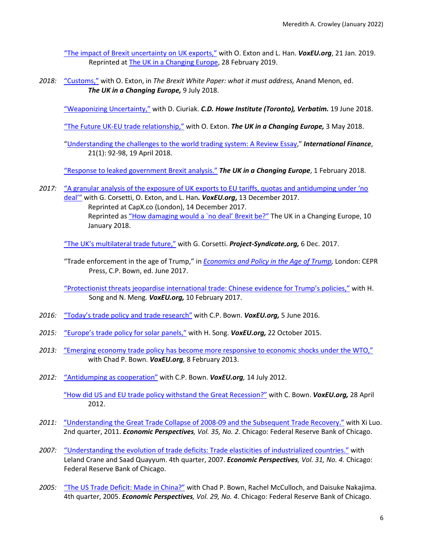["The impact of Brexit uncertainty on UK exports,"](https://voxeu.org/article/impact-brexit-uncertainty-uk-exports) with O. Exton and L. Han. *VoxEU.org*, 21 Jan. 2019. Reprinted at [The UK in a Changing Europe,](https://ukandeu.ac.uk/the-impact-of-brexit-uncertainty-on-uk-exports/) 28 February 2019.

*2018:* ["Customs,"](http://ukandeu.ac.uk/wp-content/uploads/2018/07/The-Brexit-white-paper-what-it-must-address.pdf) with O. Exton, in *The Brexit White Paper: what it must address,* Anand Menon, ed. *The UK in a Changing Europe,* 9 July 2018.

["Weaponizing Uncertainty,"](https://www.cdhowe.org/public-policy-research/weaponizing-uncertainty-trade-policy-under-trump-administration) with D. Ciuriak. *C.D. Howe Institute (Toronto), Verbatim.* 19 June 2018.

["The Future UK-EU trade relationship,"](http://ukandeu.ac.uk/the-future-uk-eu-trade-relationship/) with O. Exton. *The UK in a Changing Europe,* 3 May 2018.

["Understanding the challenges to the world trading system: A Review](https://doi.org/10.1111/infi.12132) Essay," *International Finance*, 21(1): 92-98, 19 April 2018.

["Response to leaked government Brexit analysis."](http://ukandeu.ac.uk/response-to-leaked-government-brexit-analysis/) *The UK in a Changing Europe*, 1 February 2018.

*2017:* ["A granular analysis of the exposure of UK exports to EU tariffs, quotas and antidumping under 'no](https://voxeu.org/article/analysing-exposure-uk-exports-eu-tariffs-quotas-and-antidumping-under-no-deal)  [deal'"](https://voxeu.org/article/analysing-exposure-uk-exports-eu-tariffs-quotas-and-antidumping-under-no-deal) with G. Corsetti, O. Exton, and L. Han*. [VoxEU.org](https://voxeu.org/article/analysing-exposure-uk-exports-eu-tariffs-quotas-and-antidumping-under-no-deal)***,** 13 December 2017. Reprinted at CapX.co (London), 14 December 2017. Reprinted as "How damaging would a 'no deal' Brexit be?" The UK in a Changing Europe, 10 January 2018.

["The UK's multilateral trade future,"](http://prosyn.org/Si2XkvK) with G. Corsetti. *[Project-Syndicate.org,](http://prosyn.org/Si2XkvK)* 6 Dec. 2017.

"Trade enforcement in the age of Trump," in *[Economics and Policy in the Age of Trump,](https://voxeu.org/content/economics-and-policy-age-trump)* London: CEPR Press, C.P. Bown, ed. June 2017.

["Protectionist threats jeopardise international trade: Chinese evidence for Trump's policies,"](https://voxeu.org/article/protectionist-threats-jeopardise-international-trade) with H. Song and N. Meng*. VoxEU.org,* 10 February 2017.

- *2016:* ["Today's trade policy and trade research"](https://voxeu.org/article/today-s-trade-policy-and-trade-research) with C.P. Bown. *VoxEU.org,* 5 June 2016.
- *2015:* ["Europe's trade policy for solar panels,"](https://voxeu.org/article/europe-s-trade-policy-solar-panels) with H. Song. *VoxEU.org,* 22 October 2015.
- *2013:* ["Emerging economy trade policy has become more responsive to economic shocks under the WTO,"](https://voxeu.org/article/trade-policy-and-macroeconomic-shocks-new-evidence-emerging-economies) with Chad P. Bown. *VoxEU.org,* 8 February 2013.
- *2012:* ["Antidumping as cooperation"](https://voxeu.org/article/antidumping-cooperation) with C.P. Bown. *VoxEU.org,* 14 July 2012.

["How did US and EU trade policy withstand the Great Recession?"](https://voxeu.org/article/how-did-us-and-eu-trade-policy-withstand-great-recession) with C. Bown. *VoxEU.org,* 28 April 2012.

- *2011:* ["Understanding the Great Trade Collapse of 2008-09 and the Subsequent Trade Recovery."](https://www.chicagofed.org/publications/economic-perspectives/2011/2q-crowley-luo) with Xi Luo. 2nd quarter, 2011. *Economic Perspectives, Vol. 35, No. 2.* Chicago: Federal Reserve Bank of Chicago.
- *2007:* ["Understanding the evolution of trade deficits: Trade elasticities of industrialized countries."](https://www.chicagofed.org/publications/economic-perspectives/2007/4qtr2007-part1-crane-etal) with Leland Crane and Saad Quayyum. 4th quarter, 2007. *Economic Perspectives, Vol. 31, No. 4.* Chicago: Federal Reserve Bank of Chicago.
- *2005:* ["The US Trade Deficit: Made in China?"](https://www.chicagofed.org/publications/economic-perspectives/2005/4qtr2005-part1-bown-crowley-mcculloch) with Chad P. Bown, Rachel McCulloch, and Daisuke Nakajima. 4th quarter, 2005. *Economic Perspectives, Vol. 29, No. 4.* Chicago: Federal Reserve Bank of Chicago.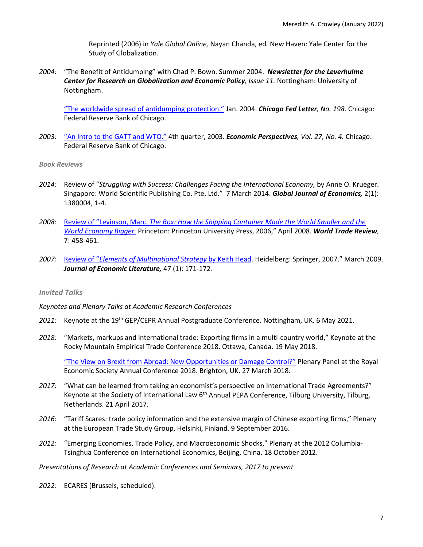Reprinted (2006) in *Yale Global Online,* Nayan Chanda, ed*.* New Haven: Yale Center for the Study of Globalization.

*2004:* "The Benefit of Antidumping" with Chad P. Bown. Summer 2004. *Newsletter for the Leverhulme Center for Research on Globalization and Economic Policy, Issue 11.* Nottingham: University of Nottingham.

["The worldwide spread of antidumping protection."](https://www.chicagofed.org/publications/chicago-fed-letter/2004/january-198) Jan. 2004. *Chicago Fed Letter, No. 198*. Chicago: Federal Reserve Bank of Chicago.

*2003:* ["An Intro to the GATT and WTO."](https://www.chicagofed.org/publications/economic-perspectives/2003/4qeppart4) 4th quarter, 2003. *Economic Perspectives, Vol. 27, No. 4.* Chicago: Federal Reserve Bank of Chicago.

### *Book Reviews*

- *2014:* Review of "*Struggling with Success: Challenges Facing the International Economy,* by Anne O. Krueger. Singapore: World Scientific Publishing Co. Pte. Ltd." 7 March 2014. *Global Journal of Economics,* 2(1): 1380004, 1-4.
- *2008:* Review of "Levinson, Marc. *[The Box: How the Shipping Container Made the World Smaller and the](https://doi.org/10.1017/S1474745608003856)  [World Economy Bigger.](https://doi.org/10.1017/S1474745608003856)* Princeton: Princeton University Press, 2006," April 2008. *World Trade Review,*  7: 458-461.
- *2007:* Review of "*[Elements of Multinational Strategy](https://doi.org/10.1257/jel.47.1.171)* by Keith Head. Heidelberg: Springer, 2007." March 2009. *Journal of Economic Literature,* 47 (1): 171-172*.*

### *Invited Talks*

*Keynotes and Plenary Talks at Academic Research Conferences*

- 2021: Keynote at the 19<sup>th</sup> GEP/CEPR Annual Postgraduate Conference. Nottingham, UK. 6 May 2021.
- *2018:* "Markets, markups and international trade: Exporting firms in a multi-country world," Keynote at the Rocky Mountain Empirical Trade Conference 2018. Ottawa, Canada. 19 May 2018.

["The View on Brexit from Abroad: New Opportunities or Damage Control?"](https://www.youtube.com/watch?v=SXakRcHgYqc) Plenary Panel at the Royal Economic Society Annual Conference 2018. Brighton, UK. 27 March 2018.

- *2017:* "What can be learned from taking an economist's perspective on International Trade Agreements?" Keynote at the Society of International Law 6<sup>th</sup> Annual PEPA Conference, Tilburg University, Tilburg, Netherlands. 21 April 2017.
- *2016:* "Tariff Scares: trade policy information and the extensive margin of Chinese exporting firms," Plenary at the European Trade Study Group, Helsinki, Finland. 9 September 2016.
- *2012:* "Emerging Economies, Trade Policy, and Macroeconomic Shocks," Plenary at the 2012 Columbia-Tsinghua Conference on International Economics, Beijing, China. 18 October 2012.

*Presentations of Research at Academic Conferences and Seminars, 2017 to present*

*2022:* ECARES (Brussels, scheduled).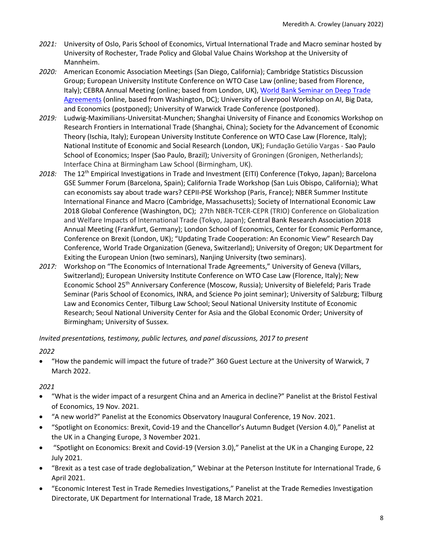- *2021:* University of Oslo, Paris School of Economics, Virtual International Trade and Macro seminar hosted by University of Rochester, Trade Policy and Global Value Chains Workshop at the University of Mannheim.
- *2020:* American Economic Association Meetings (San Diego, California); Cambridge Statistics Discussion Group; European University Institute Conference on WTO Case Law (online; based from Florence, Italy); CEBRA Annual Meeting (online; based from London, UK), World Bank Seminar on Deep Trade [Agreements](https://youtu.be/2qQbKcKUyak) (online, based from Washington, DC); University of Liverpool Workshop on AI, Big Data, and Economics (postponed); University of Warwick Trade Conference (postponed).
- *2019:* Ludwig-Maximilians-Universitat-Munchen; Shanghai University of Finance and Economics Workshop on Research Frontiers in International Trade (Shanghai, China); Society for the Advancement of Economic Theory (Ischia, Italy); European University Institute Conference on WTO Case Law (Florence, Italy); National Institute of Economic and Social Research (London, UK); Fundação Getúlio Vargas - Sao Paulo School of Economics; Insper (Sao Paulo, Brazil); University of Groningen (Gronigen, Netherlands); Interface China at Birmingham Law School (Birmingham, UK).
- *2018:* The 12th Empirical Investigations in Trade and Investment (EITI) Conference (Tokyo, Japan); Barcelona GSE Summer Forum (Barcelona, Spain); California Trade Workshop (San Luis Obispo, California); What can economists say about trade wars? CEPII-PSE Workshop (Paris, France); NBER Summer Institute International Finance and Macro (Cambridge, Massachusetts); Society of International Economic Law 2018 Global Conference (Washington, DC); 27th NBER-TCER-CEPR (TRIO) Conference on Globalization and Welfare Impacts of International Trade (Tokyo, Japan); Central Bank Research Association 2018 Annual Meeting (Frankfurt, Germany); London School of Economics, Center for Economic Performance, Conference on Brexit (London, UK); "Updating Trade Cooperation: An Economic View" Research Day Conference, World Trade Organization (Geneva, Switzerland); University of Oregon; UK Department for Exiting the European Union (two seminars), Nanjing University (two seminars).
- *2017:* Workshop on "The Economics of International Trade Agreements," University of Geneva (Villars, Switzerland); European University Institute Conference on WTO Case Law (Florence, Italy); New Economic School 25<sup>th</sup> Anniversary Conference (Moscow, Russia); University of Bielefeld; Paris Trade Seminar (Paris School of Economics, INRA, and Science Po joint seminar); University of Salzburg; Tilburg Law and Economics Center, Tilburg Law School; Seoul National University Institute of Economic Research; Seoul National University Center for Asia and the Global Economic Order; University of Birmingham; University of Sussex.

# *Invited presentations, testimony, public lectures, and panel discussions, 2017 to present*

# *2022*

• "How the pandemic will impact the future of trade?" 360 Guest Lecture at the University of Warwick, 7 March 2022.

- "What is the wider impact of a resurgent China and an America in decline?" Panelist at the Bristol Festival of Economics, 19 Nov. 2021.
- "A new world?" Panelist at the Economics Observatory Inaugural Conference, 19 Nov. 2021.
- "Spotlight on Economics: Brexit, Covid-19 and the Chancellor's Autumn Budget (Version 4.0)," Panelist at the UK in a Changing Europe, 3 November 2021.
- "Spotlight on Economics: Brexit and Covid-19 (Version 3.0)," Panelist at the UK in a Changing Europe, 22 July 2021.
- "Brexit as a test case of trade deglobalization," Webinar at the Peterson Institute for International Trade, 6 April 2021.
- "Economic Interest Test in Trade Remedies Investigations," Panelist at the Trade Remedies Investigation Directorate, UK Department for International Trade, 18 March 2021.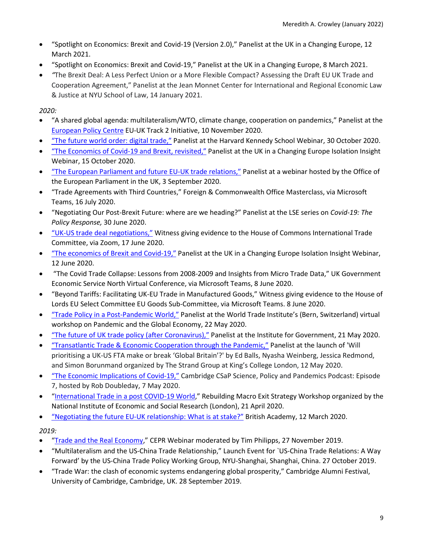- "Spotlight on Economics: Brexit and Covid-19 (Version 2.0)," Panelist at the UK in a Changing Europe, 12 March 2021.
- "Spotlight on Economics: Brexit and Covid-19," Panelist at the UK in a Changing Europe, 8 March 2021.
- *"*The Brexit Deal: A Less Perfect Union or a More Flexible Compact? Assessing the Draft EU UK Trade and Cooperation Agreement," Panelist at the Jean Monnet Center for International and Regional Economic Law & Justice at NYU School of Law, 14 January 2021.

*2020:*

- "A shared global agenda: multilateralism/WTO, climate change, cooperation on pandemics," Panelist at the [European Policy Centre](https://www.epc.eu/en/) EU-UK Track 2 Initiative, 10 November 2020.
- ["The future world order: digital trade,"](https://www.belfercenter.org/event/future-world-order-digital-trade) Panelist at the Harvard Kennedy School Webinar, 30 October 2020.
- ["The Economics of Covid-19 and Brexit, revisited,"](https://www.youtube.com/watch?v=eUmxVuNjK1I&feature=emb_title) Panelist at the UK in a Changing Europe Isolation Insight Webinar, 15 October 2020.
- ["The European Parliament and future EU-UK trade relations,"](https://www.europarl.europa.eu/unitedkingdom/en/media/past-events/european-parliament-events-2020/3sept-eu-uk-trade.html) Panelist at a webinar hosted by the Office of the European Parliament in the UK, 3 September 2020.
- "Trade Agreements with Third Countries," Foreign & Commonwealth Office Masterclass, via Microsoft Teams, 16 July 2020.
- "Negotiating Our Post-Brexit Future: where are we heading?" Panelist at the LSE series on *Covid-19: The Policy Response,* 30 June 2020.
- ["UK-US trade deal negotiations,"](https://parliamentlive.tv/Event/Index/0c114fcf-3ef8-473c-9c17-649af78d067b) Witness giving evidence to the House of Commons International Trade Committee, via Zoom, 17 June 2020.
- ["The economics of Brexit and Covid-19,"](https://ukandeu.ac.uk/multimedia/isolation-insight-the-economics-of-brexit-and-covid-19-2/) Panelist at the UK in a Changing Europe Isolation Insight Webinar, 12 June 2020.
- "The Covid Trade Collapse: Lessons from 2008-2009 and Insights from Micro Trade Data," UK Government Economic Service North Virtual Conference, via Microsoft Teams, 8 June 2020.
- "Beyond Tariffs: Facilitating UK-EU Trade in Manufactured Goods," Witness giving evidence to the House of Lords EU Select Committee EU Goods Sub-Committee, via Microsoft Teams. 8 June 2020.
- ["Trade Policy in a Post-Pandemic World,"](https://tube.switch.ch/cast/videos/7a7194fe-01d7-4808-8aec-e709e4f90e6c) Panelist at the World Trade Institute's (Bern, Switzerland) virtual workshop on Pandemic and the Global Economy, 22 May 2020.
- ["The future of UK trade policy \(after Coronavirus\),"](https://www.instituteforgovernment.org.uk/events/future-uk-trade-policy-after-coronavirus) Panelist at the Institute for Government, 21 May 2020.
- ["Transatlantic Trade & Economic Cooperation through the Pandemic,"](https://www.youtube.com/watch?v=6VjhM2sv9bY&feature=youtu.be) Panelist at the launch of 'Will prioritising a UK-US FTA make or break 'Global Britain'?' by Ed Balls, Nyasha Weinberg, Jessica Redmond, and Simon Borunmand organized by The Strand Group at King's College London, 12 May 2020.
- ["The Economic Implications of Covid-19,"](https://youtu.be/-PabidAUxTc) Cambridge CSaP Science, Policy and Pandemics Podcast: Episode 7, hosted by Rob Doubleday, 7 May 2020.
- ["International Trade in a post COVID-19 World,](https://www.youtube.com/watch?v=kTyB3jw7rDU&feature=youtu.be)" Rebuilding Macro Exit Strategy Workshop organized by the National Institute of Economic and Social Research (London), 21 April 2020.
- ["Negotiating the future EU-UK relationship: What is at stake?"](https://www.youtube.com/watch?v=OmVwZiMs0C8&feature=youtu.be) British Academy, 12 March 2020.

*2019:* 

- ["Trade and the Real Economy,](https://www.youtube.com/watch?v=PNlOMNIoqbM)" CEPR Webinar moderated by Tim Philipps, 27 November 2019.
- "Multilateralism and the US-China Trade Relationship," Launch Event for `US-China Trade Relations: A Way Forward' by the US-China Trade Policy Working Group, NYU-Shanghai, Shanghai, China. 27 October 2019.
- "Trade War: the clash of economic systems endangering global prosperity," Cambridge Alumni Festival, University of Cambridge, Cambridge, UK. 28 September 2019.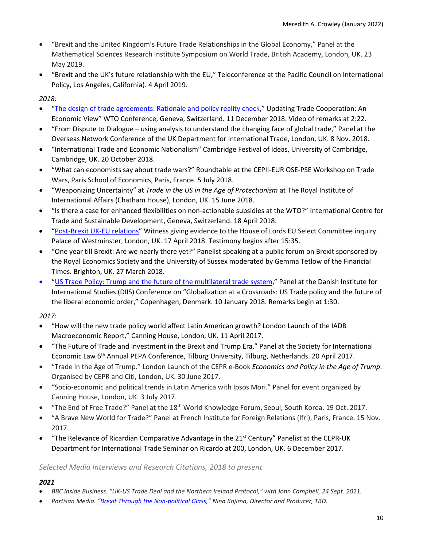- "Brexit and the United Kingdom's Future Trade Relationships in the Global Economy," Panel at the Mathematical Sciences Research Institute Symposium on World Trade, British Academy, London, UK. 23 May 2019.
- "Brexit and the UK's future relationship with the EU," Teleconference at the Pacific Council on International Policy, Los Angeles, California). 4 April 2019.

*2018:*

- ["The design of trade agreements: Rationale and policy reality check,](https://c.connectedviews.com/01/SitePlayer/wto?session=16385)" Updating Trade Cooperation: An Economic View" WTO Conference, Geneva, Switzerland. 11 December 2018. Video of remarks at 2:22.
- "From Dispute to Dialogue using analysis to understand the changing face of global trade," Panel at the Overseas Network Conference of the UK Department for International Trade, London, UK. 8 Nov. 2018.
- "International Trade and Economic Nationalism" Cambridge Festival of Ideas, University of Cambridge, Cambridge, UK. 20 October 2018.
- "What can economists say about trade wars?" Roundtable at the CEPII-EUR OSE-PSE Workshop on Trade Wars, Paris School of Economics, Paris, France. 5 July 2018.
- "Weaponizing Uncertainty" at *Trade in the US in the Age of Protectionism* at The Royal Institute of International Affairs (Chatham House), London, UK. 15 June 2018.
- "Is there a case for enhanced flexibilities on non-actionable subsidies at the WTO?" International Centre for Trade and Sustainable Development, Geneva, Switzerland. 18 April 2018.
- ["Post-Brexit UK-EU relations"](https://goo.gl/4VZoux) Witness giving evidence to the House of Lords EU Select Committee inquiry. Palace of Westminster, London, UK. 17 April 2018. Testimony begins after 15:35.
- "One year till Brexit: Are we nearly there yet?" Panelist speaking at a public forum on Brexit sponsored by the Royal Economics Society and the University of Sussex moderated by Gemma Tetlow of the Financial Times. Brighton, UK. 27 March 2018.
- ["US Trade Policy: Trump and the future of the multilateral trade system,](https://www.youtube.com/watch?time_continue=7759&v=ymmXOlEagMw)" Panel at the Danish Institute for International Studies (DIIS) Conference on "Globalization at a Crossroads: US Trade policy and the future of the liberal economic order," Copenhagen, Denmark. 10 January 2018. Remarks begin at 1:30.

*2017:*

- "How will the new trade policy world affect Latin American growth? London Launch of the IADB Macroeconomic Report," Canning House, London, UK. 11 April 2017.
- "The Future of Trade and Investment in the Brexit and Trump Era." Panel at the Society for International Economic Law 6<sup>th</sup> Annual PEPA Conference, Tilburg University, Tilburg, Netherlands. 20 April 2017.
- "Trade in the Age of Trump." London Launch of the CEPR e-Book *Economics and Policy in the Age of Trump*. Organised by CEPR and Citi, London, UK. 30 June 2017.
- "Socio-economic and political trends in Latin America with Ipsos Mori." Panel for event organized by Canning House, London, UK. 3 July 2017.
- "The End of Free Trade?" Panel at the 18th World Knowledge Forum, Seoul, South Korea. 19 Oct. 2017.
- "A Brave New World for Trade?" Panel at French Institute for Foreign Relations (Ifri), Paris, France. 15 Nov. 2017.
- "The Relevance of Ricardian Comparative Advantage in the  $21^{st}$  Century" Panelist at the CEPR-UK Department for International Trade Seminar on Ricardo at 200, London, UK. 6 December 2017.

# *Selected Media Interviews and Research Citations, 2018 to present*

- *BBC Inside Business. "UK-US Trade Deal and the Northern Ireland Protocol," with John Campbell, 24 Sept. 2021.*
- *Partisan Media. ["Brexit Through the Non-political Glass,"](https://vimeo.com/499361841) Nina Kojima, Director and Producer, TBD.*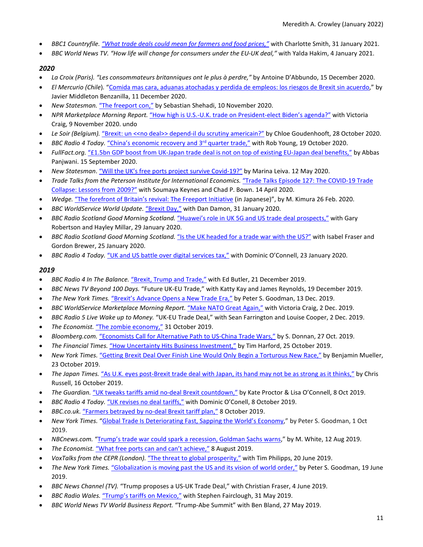- *BBC1 Countryfile. ["What trade deals could mean for farmers and food prices,"](https://www.bbc.co.uk/iplayer/episode/m000ryp6/countryfile-ellies-home-turf)* with Charlotte Smith, 31 January 2021.
- *BBC World News TV. "How life will change for consumers under the EU-UK deal,"* with Yalda Hakim, 4 January 2021.

### *2020*

- *La Croix (Paris). "Les consommateurs britanniques ont le plus à perdre,"* by Antoine D'Abbundo, 15 December 2020.
- *El Mercurio (Chile*)*.* ["Comida mas cara, aduanas atochadas y perdida de empleos: los riesgos de Brexit sin acuerdo,](https://digital.elmercurio.com/2020/12/11/A/5B3T0560#zoom=page-width)" by Javier Middleton Benzanilla, 11 December 2020.
- *New Statesman.* ["The freeport con,"](https://www.newstatesman.com/spotlight/investment/2020/11/freeport-con) by Sebastian Shehadi, 10 November 2020.
- *NPR Marketplace Morning Report.* ["How high is U.S.-U.K. trade on President-elect Biden's agenda?"](https://www.marketplace.org/shows/marketplace-morning-report/us-uk-trade-relations-biden-election-stock-markets-world-trade-organization-leader/) with Victoria Craig, 9 November 2020. undo
- *Le Soir (Belgium).* ["Brexit: un <<no deal>> depend-il du scrutiny americain?"](https://www.lesoir.be/archive/d-20201027-GJMMF7) by Chloe Goudenhooft, 28 October 2020.
- *BBC Radio 4 Today.* "China's economic recovery and 3<sup>rd</sup> quarter trade," with Rob Young, 19 October 2020.
- *FullFact.org.* ["£1.5bn GDP boost from UK-Japan trade deal is not on top of existing EU-Japan deal benefits,"](https://fullfact.org/economy/uk-japan-trade-benefits/) by Abbas Panjwani. 15 September 2020.
- *New Statesman*[. "Will the UK's free ports project survive Covid-19?"](https://www.newstatesman.com/politics/economy/2020/05/free-ports-uk-consultation-brexit-coronavirus-delay) by Marina Leiva. 12 May 2020.
- *Trade Talks from the Peterson Institute for International Economics.* ["Trade Talks Episode 127: The COVID-19 Trade](https://www.tradetalkspodcast.com/podcast/127-the-covid-19-trade-collapse-lessons-from-2009/)  [Collapse: Lessons from 2009?"](https://www.tradetalkspodcast.com/podcast/127-the-covid-19-trade-collapse-lessons-from-2009/) with Soumaya Keynes and Chad P. Bown. 14 April 2020.
- *Wedge.* ["The forefront of Britain's revival: The Freeport Initiative](https://wedge.ismedia.jp/articles/-/18751) (in Japanese)", by M. Kimura 26 Feb. 2020.
- *BBC WorldService World Update.* ["Brexit Day,"](https://www.bbc.co.uk/sounds/play/w172wyb155z8wy9) with Dan Damon, 31 January 2020.
- *BBC Radio Scotland Good Morning Scotland.* ["Huawei's role in UK 5G and US trade deal prospects,"](https://www.bbc.co.uk/sounds/play/m000dpr4) with Gary Robertson and Hayley Millar, 29 January 2020.
- *BBC Radio Scotland Good Morning Scotland.* ["Is the UK headed for a trade war with the US?"](https://www.bbc.co.uk/sounds/play/m000dq49) with Isabel Fraser and Gordon Brewer, 25 January 2020.
- *BBC Radio 4 Today.* ["UK and US battle over digital services tax,"](https://www.bbc.co.uk/sounds/play/m000dg9j) with Dominic O'Connell, 23 January 2020.

- *BBC Radio 4 In The Balance.* ["Brexit, Trump and Trade,"](https://www.bbc.co.uk/programmes/w3csy9vx) with Ed Butler, 21 December 2019.
- *BBC News TV Beyond 100 Days.* "Future UK-EU Trade," with Katty Kay and James Reynolds, 19 December 2019.
- *The New York Times.* ["Brexit's Advance Opens a New Trade Era,"](https://nyti.ms/2ryBTjZ) by Peter S. Goodman, 13 Dec. 2019.
- *BBC WorldService Marketplace Morning Report.* ["Make NATO Great Again,"](https://www.marketplace.org/shows/marketplace-morning-report/nato-summit-london-70-defense/) with Victoria Craig, 2 Dec. 2019.
- *BBC Radio 5 Live Wake up to Money.* "UK-EU Trade Deal," with Sean Farrington and Louise Cooper, 2 Dec. 2019.
- *The Economist.* ["The zombie economy,"](https://www.economist.com/britain/2019/10/31/britains-economy-is-holding-up-well-for-now) 31 October 2019.
- *Bloomberg.com.* ["Economists Call for Alternative Path to US-China Trade Wars,"](https://www.bloomberg.com/news/articles/2019-10-27/economists-call-for-alternative-path-to-u-s-china-trade-wars) by S. Donnan, 27 Oct. 2019.
- *The Financial Times.* ["How Uncertainty Hits Business Investment,"](https://on.ft.com/2JkTr8z) by Tim Harford, 25 October 2019.
- *New York Times.* "Getting Brexit Deal Over Finish Line Would Only Begin a Torturous New Race," by Benjamin Mueller, 23 October 2019.
- *The Japan Times.* ["As U.K. eyes post-Brexit trade deal with Japan, its hand may not be as strong as it thinks,"](https://www.japantimes.co.jp/news/2019/10/16/business/u-k-eyes-post-brexit-trade-deal-japan-hand-may-not-strong-thinks/#.Xac9CehKhPZ) by Chris Russell, 16 October 2019.
- *The Guardian.* ["UK tweaks tariffs amid no-deal Brexit countdown,"](https://www.theguardian.com/politics/2019/oct/08/uk-tweaks-tariffs-amid-no-deal-brexit-countdown) by Kate Proctor & Lisa O'Connell, 8 Oct 2019.
- *BBC Radio 4 Today.* ["UK revises no deal tariffs,"](https://www.bbc.co.uk/sounds/play/m0009359) with Dominic O'Conell, 8 October 2019.
- *BBC.co.uk.* ["Farmers betrayed by no-deal Brexit tariff](https://www.bbc.co.uk/news/business-49970197) plan," 8 October 2019.
- *New York Times.* "Global Trade Is [Deteriorating](https://nyti.ms/2nejDu2) Fast, Sapping the World's Economy," by Peter S. Goodman, 1 Oct 2019.
- *NBCnews.com.* ["Trump's trade war could spark a recession, Goldman Sachs warns,](https://www.nbcnews.com/business/economy/trump-s-trade-war-could-spark-recession-warns-goldman-sachs-n1041501)" by M. White, 12 Aug 2019.
- *The Economist.* ["What free ports can and can't achieve,"](https://www.economist.com/britain/2019/08/08/what-free-ports-can-and-cant-achieve) 8 August 2019.
- *VoxTalks from the CEPR (London).* ["The threat to global prosperity,"](https://voxeu.org/vox-talks/threat-global-prosperity) with Tim Philipps, 20 June 2019.
- *The New York Times.* ["Globalization is moving past the US and its vision of world order,"](https://nyti.ms/2KZJejN) by Peter S. Goodman, 19 June 2019.
- *BBC News Channel (TV).* "Trump proposes a US-UK Trade Deal," with Christian Fraser, 4 June 2019.
- *BBC Radio Wales.* ["Trump's tariffs on Mexico,"](https://www.bbc.co.uk/sounds/play/m0005g7x) with Stephen Fairclough, 31 May 2019.
- *BBC World News TV World Business Report.* "Trump-Abe Summit" with Ben Bland, 27 May 2019.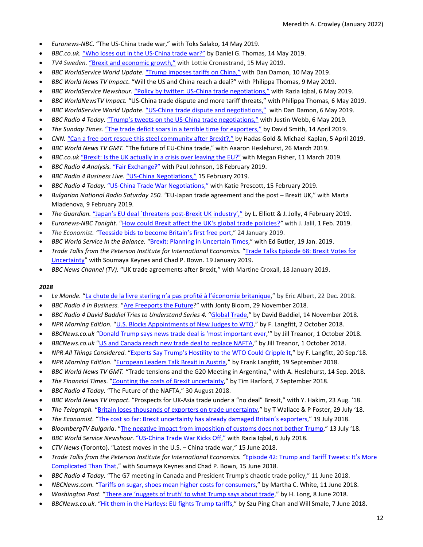- *Euronews-NBC.* "The US-China trade war," with Toks Salako, 14 May 2019.
- *BBC.co.uk.* ["Who loses out in the US-China trade war?"](https://www.bbc.co.uk/news/business-48256535) by Daniel G. Thomas, 14 May 2019.
- *TV4 Sweden.* ["Brexit and economic growth,"](https://www.tv4.se/nyheterna/klipp/brexit-skapar-tillv%C3%A4xt-ett-tag-11984146) with Lottie Cronestrand, 15 May 2019.
- *BBC WorldService World Update.* ["Trump imposes tariffs on China,"](https://www.bbc.co.uk/sounds/play/w172wy9jjnj1wsh) with Dan Damon, 10 May 2019.
- *BBC World News TV Impact.* "Will the US and China reach a deal?" with Philippa Thomas, 9 May 2019.
- *BBC WorldService Newshour.* ["Policy by twitter: US-China trade negotiations,"](https://www.bbc.co.uk/sounds/play/w172wq4nlmz992n) with Razia Iqbal, 6 May 2019.
- *BBC WorldNewsTV Impact.* "US-China trade dispute and more tariff threats," with Philippa Thomas, 6 May 2019.
- *BBC WorldService World Update.* ["US-China trade dispute and negotiations,"](https://www.bbc.co.uk/sounds/play/w172wy9jjnhp953) with Dan Damon, 6 May 2019.
- *BBC Radio 4 Today.* ["Trump's tweets on the US-China trade negotiations,"](https://www.bbc.co.uk/sounds/play/m0004s91) with Justin Webb, 6 May 2019.
- *The Sunday Times.* ["The trade deficit soars in a terrible time for exporters,"](https://www.thetimes.co.uk/article/the-trade-deficit-soars-in-a-terrible-time-for-exporters-k58n6f327) by David Smith, 14 April 2019.
- *CNN.* ["Can a free port rescue this steel community after Brexit?,"](https://edition.cnn.com/2019/04/05/business/uk-steel-brexit/index.html) by Hadas Gold & Michael Kaplan, 5 April 2019.
- *BBC World News TV GMT.* "The future of EU-China trade," with Aaaron Heslehurst, 26 March 2019.
- *BBC.co.uk* ["Brexit: Is the UK actually in a crisis over leaving the EU?"](https://www.bbc.co.uk/news/av/uk-politics-47500166/brexit-is-the-uk-actually-in-a-crisis-over-leaving-the-eu) with Megan Fisher, 11 March 2019.
- *BBC Radio 4 Analysis.* ["Fair Exchange?"](https://www.bbc.co.uk/programmes/m0002lvx) with Paul Johnson, 18 February 2019.
- *BBC Radio 4 Business Live.* ["US-China Negotiations,"](https://www.bbc.co.uk/news/live/business-47173891) 15 February 2019.
- *BBC Radio 4 Today.* ["US-China Trade War Negotiations,"](https://www.bbc.co.uk/sounds/play/m0002hxp) with Katie Prescott, 15 February 2019.
- *Bulgarian National Radio Saturday 150. "*EU-Japan trade agreement and the post Brexit UK," with Marta Mladenova, 9 February 2019.
- *The Guardian.* "Japan's EU deal [`threatens post-Brexit UK industry',"](https://www.theguardian.com/business/2019/feb/04/japans-eu-deal-threatens-post-brexit-uk-industry) by L. Elliott & J. Jolly, 4 February 2019.
- *Euronews-NBC Tonight.* ["How could Brexit affect the UK's global trade policies?](https://twitter.com/euronews/status/1091410084981166080)*"* with J. Jalil, 1 Feb. 2019.
- *The Economist. "*[Teesside bids to become Britain's first free port,](https://www.economist.com/britain/2019/01/26/teesside-bids-to-become-britains-first-free-port)" 24 January 2019.
- *BBC World Service In the Balance.* ["Brexit: Planning in Uncertain Times,](https://www.bbc.co.uk/programmes/w3cswk17)" with Ed Butler, 19 Jan. 2019.
- Trade Talks from the Peterson Institute for International Economics. "Trade Talks Episode 68: Brexit Votes for [Uncertainty"](https://piie.com/experts/peterson-perspectives/trade-talks-episode-68-brexit-votes-uncertainty) with Soumaya Keynes and Chad P. Bown. 19 January 2019.
- *BBC News Channel (TV).* "UK trade agreements after Brexit," with Martine Croxall, 18 January 2019.

- *Le Monde.* ["La chute de la livre sterling n'a pas profité à l'économie britanique,](https://www.lemonde.fr/economie/article/2018/12/22/la-chute-de-la-livre-sterling-n-a-pas-profite-a-l-economie-britannique_5401340_3234.html)" by Eric Albert, 22 Dec. 2018.
- *BBC Radio 4 In Business.* ["Are Freeports the Future?](https://www.bbc.co.uk/programmes/m0001bqs)" with Jonty Bloom, 29 November 2018.
- *BBC Radio 4 David Baddiel Tries to Understand Series 4.* ["Global Trade,](https://www.bbc.co.uk/sounds/play/m00013vx)" by David Baddiel, 14 November 2018.
- *NPR Morning Edition.* ["U.S. Blocks Appointments of New Judges to WTO,](https://www.npr.org/2018/10/02/653570018/u-s-blocks-appointments-of-new-judges-to-world-trade-organization)" by F. Langfitt, 2 October 2018.
- *BBCNews.co.uk* ["Donald Trump says news trade deal is 'most important ever,'](https://www.bbc.co.uk/news/business-45711595)" by Jill Treanor, 1 October 2018.
- *BBCNews.co.uk* ["US and Canada reach new trade deal to replace NAFTA,](https://www.bbc.co.uk/news/business-45702609)" by Jill Treanor, 1 October 2018.
- *NPR All Things Considered.* ["Experts Say Trump's Hostility to the WTO Could Cripple It,"](https://www.npr.org/2018/09/20/650052772/experts-say-trumps-hostility-to-the-wto-could-cripple-it) by F. Langfitt, 20 Sep.'18.
- *NPR Morning Edition.* ["European Leaders Talk Brexit in Austria,](https://www.npr.org/2018/09/19/649432639/european-leaders-talk-brexit-in-austria)" by Frank Langfitt, 19 September 2018.
- *BBC World News TV GMT.* "Trade tensions and the G20 Meeting in Argentina," with A. Heslehurst, 14 Sep. 2018.
- *The Financial Times*. ["Counting the costs of Brexit uncertainty,](https://www.ft.com/content/906b945c-b064-11e8-8d14-6f049d06439c)" by Tim Harford, 7 September 2018.
- *BBC Radio 4 Today.* "The Future of the NAFTA," 30 August 2018.
- *BBC World News TV Impact.* "Prospects for UK-Asia trade under a "no deal" Brexit," with Y. Hakim, 23 Aug. '18.
- *The Telegraph.* ["Britain loses thousands of exporters on trade uncertainty,"](https://www.telegraph.co.uk/business/2018/07/29/britain-loses-thousands-exporters-trade-uncertainty/) by T Wallace & P Foster, 29 July '18.
- *The Economist.* ["The cost so far: Brexit uncertainty has already damaged Britain's exporters,](https://www.economist.com/britain/2018/07/21/brexit-uncertainty-has-already-damaged-britains-exporters)" 19 July 2018.
- *BloombergTV Bulgaria*. ["The negative impact from imposition of customs does not bother Trump,"](https://www.bloombergtv.bg/shows/2018-07-13/negativnoto-otrazhenie-varhu-amerikanskata-ikonomika-ot-nalaganeto-na-mita-ne-pritesnyava-tramp) 13 July '18.
- *BBC World Service Newshour.* ["US-China Trade War Kicks Off,"](https://www.bbc.co.uk/programmes/w172w256ry773vt) with Razia Iqbal, 6 July 2018.
- *CTV News* (Toronto). "Latest moves in the U.S. China trade war," 15 June 2018.
- *Trade Talks from the Peterson Institute for International Economics. "*[Episode 42: Trump and Tariff Tweets: It's More](https://piie.com/experts/peterson-perspectives/trade-talks-episode-42-trump-and-tariff-tweets-its-more-complicated)  [Complicated Than That,](https://piie.com/experts/peterson-perspectives/trade-talks-episode-42-trump-and-tariff-tweets-its-more-complicated)" with Soumaya Keynes and Chad P. Bown, 15 June 2018.
- *BBC Radio 4 Today.* "The G7 meeting in Canada and President Trump's chaotic trade policy," 11 June 2018.
- *NBCNews.com.* ["Tariffs on sugar, shoes mean higher costs for consumers,"](https://www.nbcnews.com/business/economy/tariffs-sugar-shoes-mean-higher-costs-consumers-n882071) by Martha C. White, 11 June 2018.
- *Washington Post.* ["There are 'nuggets of truth' to what Trump says about trade,"](https://wapo.st/2kVPHhn?tid=ss_tw-amp) by H. Long, 8 June 2018.
- *BBCNews.co.uk.* ["Hit them in the Harleys: EU fights Trump](https://www.bbc.co.uk/news/business-43926092) tariffs," by Szu Ping Chan and Will Smale, 7 June 2018.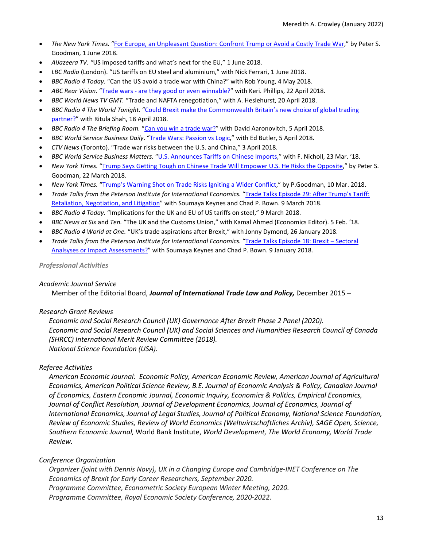- *The New York Times.* ["For Europe, an Unpleasant Question: Confront Trump or Avoid a Costly Trade War,"](https://nyti.ms/2LPQQDA) by Peter S. Goodman, 1 June 2018.
- *AlJazeera TV. "*US imposed tariffs and what's next for the EU," 1 June 2018.
- *LBC Radio* (London). "US tariffs on EU steel and aluminium," with Nick Ferrari, 1 June 2018.
- *BBC Radio 4 Today.* "Can the US avoid a trade war with China?" with Rob Young, 4 May 2018.
- *ABC Rear Vision.* "Trade wars [are they good or even winnable?"](https://www.abc.net.au/radionational/programs/rearvision/trade-wars/9672610) with Keri. Phillips, 22 April 2018.
- *BBC World News TV GMT.* "Trade and NAFTA renegotiation," with A. Heslehurst, 20 April 2018.
- *BBC Radio 4 The World Tonight.* ["Could Brexit make the Commonwealth Britain's new choice of global trading](https://www.bbc.co.uk/programmes/b09z1d9w)  [partner?"](https://www.bbc.co.uk/programmes/b09z1d9w) with Ritula Shah, 18 April 2018.
- *BBC Radio 4 The Briefing Room.* ["Can you win a trade war?"](http://www.bbc.co.uk/programmes/b09xnptj) with David Aaronovitch, 5 April 2018.
- *BBC World Service Business Daily*. ["Trade Wars: Passion vs Logic,](http://www.bbc.co.uk/programmes/w3cswgpq)" with Ed Butler, 5 April 2018.
- *CTV News* (Toronto). "Trade war risks between the U.S. and China," 3 April 2018.
- *BBC World Service Business Matters.* ["U.S. Announces Tariffs on Chinese Imports,"](https://www.bbc.co.uk/programmes/w172vthf7kpf1dz) with F. Nicholl, 23 Mar. '18.
- *New York Times.* ["Trump Says Getting Tough on Chinese Trade Will Empower U.S. He Risks the Opposite,"](https://nyti.ms/2uarXNV) by Peter S. Goodman, 22 March 2018.
- *New York Times.* ["Trump's Warning Shot on Trade Risks Igniting a Wider Conflict,](https://nyti.ms/2Gdeh7h)" by P.Goodman, 10 Mar. 2018.
- *Trade Talks from the Peterson Institute for International Economics.* ["Trade Talks Episode 29: After Trump's Tariff:](https://piie.com/experts/peterson-perspectives/trade-talks-episode-29-after-trumps-tariffs-retaliation-negotiation)  [Retaliation, Negotiation, and Litigation"](https://piie.com/experts/peterson-perspectives/trade-talks-episode-29-after-trumps-tariffs-retaliation-negotiation) with Soumaya Keynes and Chad P. Bown. 9 March 2018.
- *BBC Radio 4 Today.* "Implications for the UK and EU of US tariffs on steel," 9 March 2018.
- *BBC News at Six* and *Ten.* "The UK and the Customs Union," with Kamal Ahmed (Economics Editor). 5 Feb. '18.
- *BBC Radio 4 World at One.* "UK's trade aspirations after Brexit," with Jonny Dymond, 26 January 2018.
- *Trade Talks from the Peterson Institute for International Economics.* ["Trade Talks Episode 18: Brexit –](https://piie.com/experts/peterson-perspectives/trade-talks-episode-18-brexit-sectoral-analyses-or-impact-assessments) Sectoral [Analsyses or Impact Assessments?"](https://piie.com/experts/peterson-perspectives/trade-talks-episode-18-brexit-sectoral-analyses-or-impact-assessments) with Soumaya Keynes and Chad P. Bown. 9 January 2018.

*Professional Activities*

# *Academic Journal Service*

Member of the Editorial Board, *Journal of International Trade Law and Policy,* December 2015 –

# *Research Grant Reviews*

*Economic and Social Research Council (UK) Governance After Brexit Phase 2 Panel (2020). Economic and Social Research Council (UK) and Social Sciences and Humanities Research Council of Canada (SHRCC) International Merit Review Committee (2018). National Science Foundation (USA).*

# *Referee Activities*

*American Economic Journal: Economic Policy, American Economic Review, American Journal of Agricultural Economics, American Political Science Review, B.E. Journal of Economic Analysis & Policy, Canadian Journal of Economics, Eastern Economic Journal, Economic Inquiry, Economics & Politics, Empirical Economics, Journal of Conflict Resolution, Journal of Development Economics, Journal of Economics, Journal of International Economics, Journal of Legal Studies, Journal of Political Economy, National Science Foundation, Review of Economic Studies, Review of World Economics (Weltwirtschaftliches Archiv), SAGE Open, Science, Southern Economic Journal,* World Bank Institute, *World Development, The World Economy, World Trade Review.* 

# *Conference Organization*

*Organizer (joint with Dennis Novy), UK in a Changing Europe and Cambridge-INET Conference on The Economics of Brexit for Early Career Researchers, September 2020. Programme Committee, Econometric Society European Winter Meeting, 2020. Programme Committee, Royal Economic Society Conference, 2020-2022.*